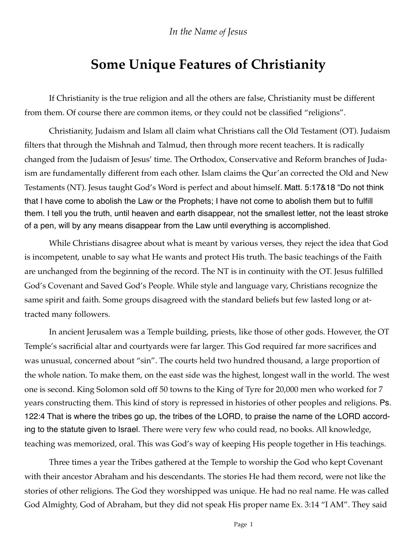## *In the Name of Jesus*

## **Some Unique Features of Christianity**

If Christianity is the true religion and all the others are false, Christianity must be different from them. Of course there are common items, or they could not be classified "religions".

Christianity, Judaism and Islam all claim what Christians call the Old Testament (OT). Judaism filters that through the Mishnah and Talmud, then through more recent teachers. It is radically changed from the Judaism of Jesus' time. The Orthodox, Conservative and Reform branches of Judaism are fundamentally different from each other. Islam claims the Qur'an corrected the Old and New Testaments (NT). Jesus taught God's Word is perfect and about himself. Matt. 5:17&18 "Do not think that I have come to abolish the Law or the Prophets; I have not come to abolish them but to fulfill them. I tell you the truth, until heaven and earth disappear, not the smallest letter, not the least stroke of a pen, will by any means disappear from the Law until everything is accomplished.

While Christians disagree about what is meant by various verses, they reject the idea that God is incompetent, unable to say what He wants and protect His truth. The basic teachings of the Faith are unchanged from the beginning of the record. The NT is in continuity with the OT. Jesus fulfilled God's Covenant and Saved God's People. While style and language vary, Christians recognize the same spirit and faith. Some groups disagreed with the standard beliefs but few lasted long or attracted many followers.

In ancient Jerusalem was a Temple building, priests, like those of other gods. However, the OT Temple's sacrificial altar and courtyards were far larger. This God required far more sacrifices and was unusual, concerned about "sin". The courts held two hundred thousand, a large proportion of the whole nation. To make them, on the east side was the highest, longest wall in the world. The west one is second. King Solomon sold off 50 towns to the King of Tyre for 20,000 men who worked for 7 years constructing them. This kind of story is repressed in histories of other peoples and religions. Ps. 122:4 That is where the tribes go up, the tribes of the LORD, to praise the name of the LORD according to the statute given to Israel. There were very few who could read, no books. All knowledge, teaching was memorized, oral. This was God's way of keeping His people together in His teachings.

Three times a year the Tribes gathered at the Temple to worship the God who kept Covenant with their ancestor Abraham and his descendants. The stories He had them record, were not like the stories of other religions. The God they worshipped was unique. He had no real name. He was called God Almighty, God of Abraham, but they did not speak His proper name Ex. 3:14 "I AM". They said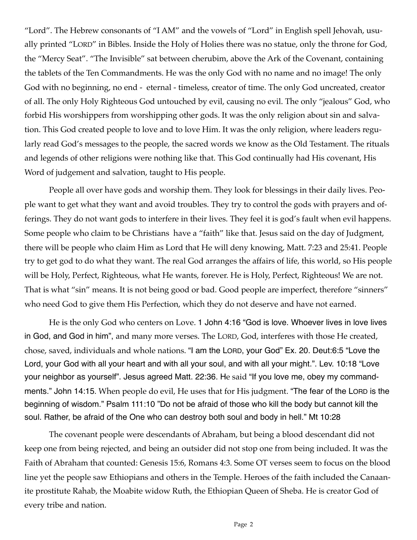"Lord". The Hebrew consonants of "I AM" and the vowels of "Lord" in English spell Jehovah, usually printed "LORD" in Bibles. Inside the Holy of Holies there was no statue, only the throne for God, the "Mercy Seat". "The Invisible" sat between cherubim, above the Ark of the Covenant, containing the tablets of the Ten Commandments. He was the only God with no name and no image! The only God with no beginning, no end - eternal - timeless, creator of time. The only God uncreated, creator of all. The only Holy Righteous God untouched by evil, causing no evil. The only "jealous" God, who forbid His worshippers from worshipping other gods. It was the only religion about sin and salvation. This God created people to love and to love Him. It was the only religion, where leaders regularly read God's messages to the people, the sacred words we know as the Old Testament. The rituals and legends of other religions were nothing like that. This God continually had His covenant, His Word of judgement and salvation, taught to His people.

People all over have gods and worship them. They look for blessings in their daily lives. People want to get what they want and avoid troubles. They try to control the gods with prayers and offerings. They do not want gods to interfere in their lives. They feel it is god's fault when evil happens. Some people who claim to be Christians have a "faith" like that. Jesus said on the day of Judgment, there will be people who claim Him as Lord that He will deny knowing, Matt. 7:23 and 25:41. People try to get god to do what they want. The real God arranges the affairs of life, this world, so His people will be Holy, Perfect, Righteous, what He wants, forever. He is Holy, Perfect, Righteous! We are not. That is what "sin" means. It is not being good or bad. Good people are imperfect, therefore "sinners" who need God to give them His Perfection, which they do not deserve and have not earned.

He is the only God who centers on Love. 1 John 4:16 "God is love. Whoever lives in love lives in God, and God in him", and many more verses. The LORD, God, interferes with those He created, chose, saved, individuals and whole nations. "I am the LORD, your God" Ex. 20. Deut:6:5 "Love the Lord, your God with all your heart and with all your soul, and with all your might.". Lev. 10:18 "Love your neighbor as yourself". Jesus agreed Matt. 22:36. He said "If you love me, obey my commandments." John 14:15. When people do evil, He uses that for His judgment. "The fear of the LORD is the beginning of wisdom." Psalm 111:10 "Do not be afraid of those who kill the body but cannot kill the soul. Rather, be afraid of the One who can destroy both soul and body in hell." Mt 10:28

The covenant people were descendants of Abraham, but being a blood descendant did not keep one from being rejected, and being an outsider did not stop one from being included. It was the Faith of Abraham that counted: Genesis 15:6, Romans 4:3. Some OT verses seem to focus on the blood line yet the people saw Ethiopians and others in the Temple. Heroes of the faith included the Canaanite prostitute Rahab, the Moabite widow Ruth, the Ethiopian Queen of Sheba. He is creator God of every tribe and nation.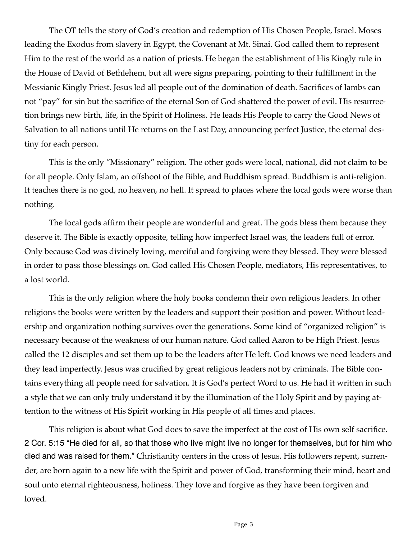The OT tells the story of God's creation and redemption of His Chosen People, Israel. Moses leading the Exodus from slavery in Egypt, the Covenant at Mt. Sinai. God called them to represent Him to the rest of the world as a nation of priests. He began the establishment of His Kingly rule in the House of David of Bethlehem, but all were signs preparing, pointing to their fulfillment in the Messianic Kingly Priest. Jesus led all people out of the domination of death. Sacrifices of lambs can not "pay" for sin but the sacrifice of the eternal Son of God shattered the power of evil. His resurrection brings new birth, life, in the Spirit of Holiness. He leads His People to carry the Good News of Salvation to all nations until He returns on the Last Day, announcing perfect Justice, the eternal destiny for each person.

This is the only "Missionary" religion. The other gods were local, national, did not claim to be for all people. Only Islam, an offshoot of the Bible, and Buddhism spread. Buddhism is anti-religion. It teaches there is no god, no heaven, no hell. It spread to places where the local gods were worse than nothing.

The local gods affirm their people are wonderful and great. The gods bless them because they deserve it. The Bible is exactly opposite, telling how imperfect Israel was, the leaders full of error. Only because God was divinely loving, merciful and forgiving were they blessed. They were blessed in order to pass those blessings on. God called His Chosen People, mediators, His representatives, to a lost world.

This is the only religion where the holy books condemn their own religious leaders. In other religions the books were written by the leaders and support their position and power. Without leadership and organization nothing survives over the generations. Some kind of "organized religion" is necessary because of the weakness of our human nature. God called Aaron to be High Priest. Jesus called the 12 disciples and set them up to be the leaders after He left. God knows we need leaders and they lead imperfectly. Jesus was crucified by great religious leaders not by criminals. The Bible contains everything all people need for salvation. It is God's perfect Word to us. He had it written in such a style that we can only truly understand it by the illumination of the Holy Spirit and by paying attention to the witness of His Spirit working in His people of all times and places.

This religion is about what God does to save the imperfect at the cost of His own self sacrifice. 2 Cor. 5:15 "He died for all, so that those who live might live no longer for themselves, but for him who died and was raised for them." Christianity centers in the cross of Jesus. His followers repent, surrender, are born again to a new life with the Spirit and power of God, transforming their mind, heart and soul unto eternal righteousness, holiness. They love and forgive as they have been forgiven and loved.